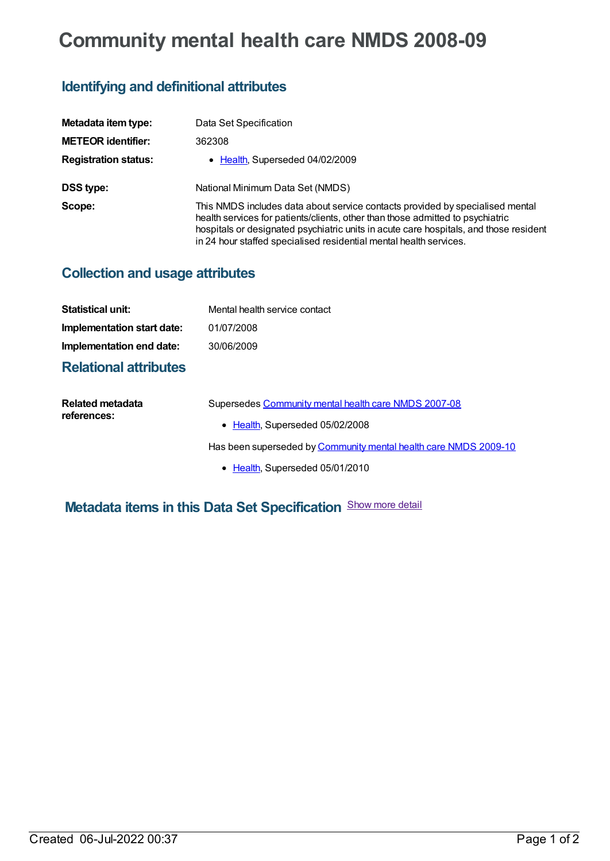## **Community mental health care NMDS 2008-09**

## **Identifying and definitional attributes**

| Metadata item type:         | Data Set Specification                                                                                                                                                                                                                                                                                                         |
|-----------------------------|--------------------------------------------------------------------------------------------------------------------------------------------------------------------------------------------------------------------------------------------------------------------------------------------------------------------------------|
| <b>METEOR identifier:</b>   | 362308                                                                                                                                                                                                                                                                                                                         |
| <b>Registration status:</b> | • Health, Superseded 04/02/2009                                                                                                                                                                                                                                                                                                |
| <b>DSS type:</b>            | National Minimum Data Set (NMDS)                                                                                                                                                                                                                                                                                               |
| Scope:                      | This NMDS includes data about service contacts provided by specialised mental<br>health services for patients/clients, other than those admitted to psychiatric<br>hospitals or designated psychiatric units in acute care hospitals, and those resident<br>in 24 hour staffed specialised residential mental health services. |

## **Collection and usage attributes**

| <b>Statistical unit:</b>     | Mental health service contact |
|------------------------------|-------------------------------|
| Implementation start date:   | 01/07/2008                    |
| Implementation end date:     | 30/06/2009                    |
| <b>Relational attributes</b> |                               |

| Related metadata<br>references: | Supersedes Community mental health care NMDS 2007-08             |
|---------------------------------|------------------------------------------------------------------|
|                                 | • Health, Superseded 05/02/2008                                  |
|                                 | Has been superseded by Community mental health care NMDS 2009-10 |
|                                 | • Health, Superseded 05/01/2010                                  |

## **Metadata items in this Data Set Specification** Show more detail